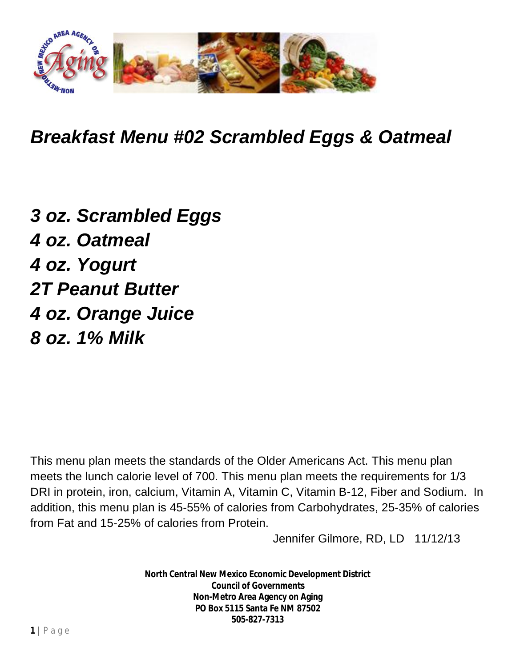

*Breakfast Menu #02 Scrambled Eggs & Oatmeal*

*3 oz. Scrambled Eggs 4 oz. Oatmeal 4 oz. Yogurt 2T Peanut Butter 4 oz. Orange Juice 8 oz. 1% Milk*

This menu plan meets the standards of the Older Americans Act. This menu plan meets the lunch calorie level of 700. This menu plan meets the requirements for 1/3 DRI in protein, iron, calcium, Vitamin A, Vitamin C, Vitamin B-12, Fiber and Sodium. In addition, this menu plan is 45-55% of calories from Carbohydrates, 25-35% of calories from Fat and 15-25% of calories from Protein.

Jennifer Gilmore, RD, LD 11/12/13

**North Central New Mexico Economic Development District Council of Governments Non-Metro Area Agency on Aging PO Box 5115 Santa Fe NM 87502 505-827-7313**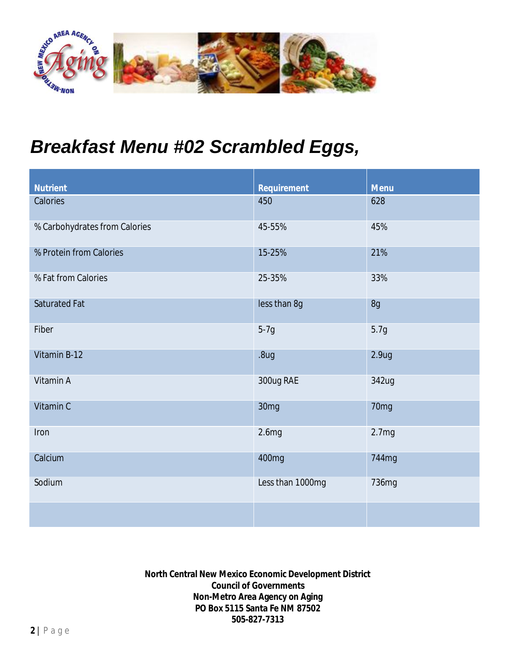

## *Breakfast Menu #02 Scrambled Eggs,*

| <b>Nutrient</b>               | <b>Requirement</b> | <b>Menu</b>       |
|-------------------------------|--------------------|-------------------|
| Calories                      | 450                | 628               |
| % Carbohydrates from Calories | 45-55%             | 45%               |
| % Protein from Calories       | 15-25%             | 21%               |
| % Fat from Calories           | 25-35%             | 33%               |
| <b>Saturated Fat</b>          | less than 8g       | 8g                |
| Fiber                         | $5-7g$             | 5.7g              |
| Vitamin B-12                  | .8 <sub>ug</sub>   | 2.9 <sub>ug</sub> |
| Vitamin A                     | 300ug RAE          | 342ug             |
| Vitamin C                     | 30mg               | 70mg              |
| Iron                          | 2.6mg              | 2.7mg             |
| Calcium                       | 400mg              | 744mg             |
| Sodium                        | Less than 1000mg   | 736mg             |
|                               |                    |                   |

**North Central New Mexico Economic Development District Council of Governments Non-Metro Area Agency on Aging PO Box 5115 Santa Fe NM 87502 505-827-7313**